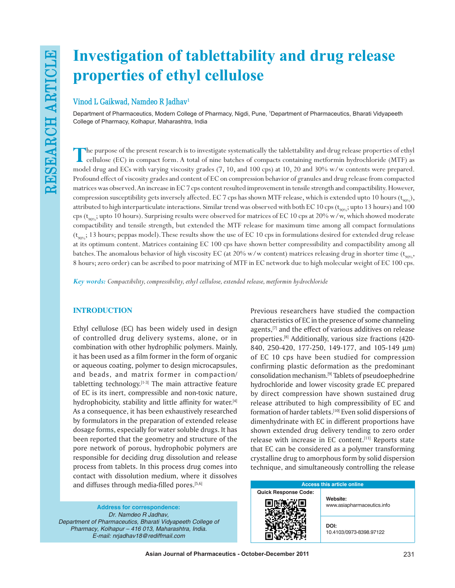# **Investigation of tablettability and drug release properties of ethyl cellulose**

# **Vinod L Gaikwad, Namdeo R Jadhav1**

Department of Pharmaceutics, Modern College of Pharmacy, Nigdi, Pune, 1 Department of Pharmaceutics, Bharati Vidyapeeth College of Pharmacy, Kolhapur, Maharashtra, India

**T**he purpose of the present research is to investigate systematically the tablettability and drug release properties of ethyl cellulose (EC) in compact form. A total of nine batches of compacts containing metformin hydrochloride (MTF) as model drug and ECs with varying viscosity grades (7, 10, and 100 cps) at 10, 20 and 30% w/w contents were prepared. Profound effect of viscosity grades and content of EC on compression behavior of granules and drug release from compacted matrices was observed. An increase in EC 7 cps content resulted improvement in tensile strength and compactibility. However, compression susceptibility gets inversely affected. EC 7 cps has shown MTF release, which is extended upto 10 hours ( $t_{\text{sooc}}$ ), attributed to high interparticulate interactions. Similar trend was observed with both EC 10 cps ( $t_{90\%}$ ; upto 13 hours) and 100 cps ( $t_{\text{90\%}}$ ; upto 10 hours). Surprising results were observed for matrices of EC 10 cps at 20% w/w, which showed moderate compactibility and tensile strength, but extended the MTF release for maximum time among all compact formulations  $(t_{\text{spec}}; 13 \text{ hours};$  peppas model). These results show the use of EC 10 cps in formulations desired for extended drug release at its optimum content. Matrices containing EC 100 cps have shown better compressibility and compactibility among all batches. The anomalous behavior of high viscosity EC (at 20% w/w content) matrices releasing drug in shorter time ( $t_{\text{one}}$ , 8 hours; zero order) can be ascribed to poor matrixing of MTF in EC network due to high molecular weight of EC 100 cps.

*Key words: Compactibility, compressibility, ethyl cellulose, extended release, metformin hydrochloride*

## **INTRODUCTION**

Ethyl cellulose (EC) has been widely used in design of controlled drug delivery systems, alone, or in combination with other hydrophilic polymers. Mainly, it has been used as a film former in the form of organic or aqueous coating, polymer to design microcapsules, and beads, and matrix former in compaction/ tabletting technology.<sup>[1-3]</sup> The main attractive feature of EC is its inert, compressible and non-toxic nature, hydrophobicity, stability and little affinity for water.<sup>[4]</sup> As a consequence, it has been exhaustively researched by formulators in the preparation of extended release dosage forms, especially for water soluble drugs. It has been reported that the geometry and structure of the pore network of porous, hydrophobic polymers are responsible for deciding drug dissolution and release process from tablets. In this process drug comes into contact with dissolution medium, where it dissolves and diffuses through media-filled pores.<sup>[5,6]</sup>

**Address for correspondence:** Dr. Namdeo R Jadhav, *Department of Pharmaceutics, Bharati Vidyapeeth College of*  Pharmacy, Kolhapur – 416 013, Maharashtra, India. E-mail: nrjadhav18@rediffmail.com

Previous researchers have studied the compaction characteristics of EC in the presence of some channeling agents,<sup>[7]</sup> and the effect of various additives on release properties.[8] Additionally, various size fractions (420- 840, 250-420, 177-250, 149-177, and 105-149 µm) of EC 10 cps have been studied for compression confirming plastic deformation as the predominant consolidation mechanism.[9] Tablets of pseudoephedrine hydrochloride and lower viscosity grade EC prepared by direct compression have shown sustained drug release attributed to high compressibility of EC and formation of harder tablets.<sup>[10]</sup> Even solid dispersions of dimenhydrinate with EC in different proportions have shown extended drug delivery tending to zero order release with increase in EC content.<sup>[11]</sup> Reports state that EC can be considered as a polymer transforming crystalline drug to amorphous form by solid dispersion technique, and simultaneously controlling the release

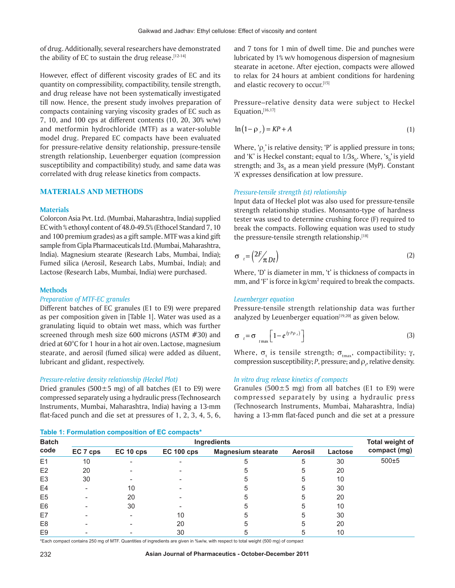of drug. Additionally, several researchers have demonstrated the ability of EC to sustain the drug release. $[12-14]$ 

However, effect of different viscosity grades of EC and its quantity on compressibility, compactibility, tensile strength, and drug release have not been systematically investigated till now. Hence, the present study involves preparation of compacts containing varying viscosity grades of EC such as 7, 10, and 100 cps at different contents (10, 20, 30% w/w) and metformin hydrochloride (MTF) as a water-soluble model drug. Prepared EC compacts have been evaluated for pressure-relative density relationship, pressure-tensile strength relationship, Leuenberger equation (compression susceptibility and compactibility) study, and same data was correlated with drug release kinetics from compacts.

## **MATERIALS AND METHODS**

#### **Materials**

Colorcon Asia Pvt. Ltd. (Mumbai, Maharashtra, India) supplied EC with % ethoxyl content of 48.0-49.5% (Ethocel Standard 7, 10 and 100 premium grades) as a gift sample. MTF was a kind gift sample from Cipla Pharmaceuticals Ltd. (Mumbai, Maharashtra, India). Magnesium stearate (Research Labs, Mumbai, India); Fumed silica (Aerosil, Research Labs, Mumbai, India); and Lactose (Research Labs, Mumbai, India) were purchased.

#### **Methods**

#### *Preparation of MTF-EC granules*

Different batches of EC granules (E1 to E9) were prepared as per composition given in [Table 1]. Water was used as a granulating liquid to obtain wet mass, which was further screened through mesh size 600 microns (ASTM #30) and dried at 60°C for 1 hour in a hot air oven. Lactose, magnesium stearate, and aerosil (fumed silica) were added as diluent, lubricant and glidant, respectively.

## *Pressure-relative density relationship (Heckel Plot)*

Dried granules (500 $\pm$ 5 mg) of all batches (E1 to E9) were compressed separately using a hydraulic press (Technosearch Instruments, Mumbai, Maharashtra, India) having a 13-mm flat-faced punch and die set at pressures of 1, 2, 3, 4, 5, 6,

|  |  | Table 1: Formulation composition of EC compacts* |  |  |
|--|--|--------------------------------------------------|--|--|
|--|--|--------------------------------------------------|--|--|

and 7 tons for 1 min of dwell time. Die and punches were lubricated by 1% w/v homogenous dispersion of magnesium stearate in acetone. After ejection, compacts were allowed to relax for 24 hours at ambient conditions for hardening and elastic recovery to occur.[15]

Pressure–relative density data were subject to Heckel Equation.[16,17]

$$
\ln(1 - \rho_r) = KP + A \tag{1}
$$

Where, ' $\rho$ <sub>r</sub>' is relative density; 'P' is applied pressure in tons; and 'K' is Heckel constant; equal to  $1/3s_o$ . Where, ' $s_o$ ' is yield strength; and  $3s^{\,}_{0}$  as a mean yield pressure (MyP). Constant 'A' expresses densification at low pressure.

## *Pressure-tensile strength (st) relationship*

Input data of Heckel plot was also used for pressure-tensile strength relationship studies. Monsanto-type of hardness tester was used to determine crushing force (F) required to break the compacts. Following equation was used to study the pressure-tensile strength relationship.[18]

$$
\sigma_{t} = \left(2F_{\pi Dt}\right) \tag{2}
$$

Where, 'D' is diameter in mm, 't' is thickness of compacts in mm, and 'F' is force in kg/cm<sup>2</sup> required to break the compacts.

#### *Leuenberger equation*

Pressure-tensile strength relationship data was further analyzed by Leuenberger equation $[19,20]$  as given below.

$$
\sigma_{t} = \sigma_{t_{\max}} \left[ 1 - e^{(\gamma P_{P_{r}})} \right]
$$
 (3)

Where,  $\sigma_{\text{t}}$  is tensile strength;  $\sigma_{\text{tmax}}$ , compactibility;  $\gamma$ , compression susceptibility;  $P$ , pressure; and  $\rho_{_{\rm I'}}$  relative density.

## *In vitro drug release kinetics of compacts*

Granules (500 $\pm$ 5 mg) from all batches (E1 to E9) were compressed separately by using a hydraulic press (Technosearch Instruments, Mumbai, Maharashtra, India) having a 13-mm flat-faced punch and die set at a pressure

| <b>Batch</b>   |          | <b>Total weight of</b>   |                   |                           |                |         |              |
|----------------|----------|--------------------------|-------------------|---------------------------|----------------|---------|--------------|
| code           | EC 7 cps | EC 10 cps                | <b>EC 100 cps</b> | <b>Magnesium stearate</b> | <b>Aerosil</b> | Lactose | compact (mg) |
| E1             | 10       | $\overline{\phantom{0}}$ |                   | 5                         | 5              | 30      | $500 + 5$    |
| E2             | 20       |                          |                   |                           | 5              | 20      |              |
| E <sub>3</sub> | 30       |                          |                   | 5                         | 5              | 10      |              |
| E <sub>4</sub> |          | 10                       |                   | 5                         | 5              | 30      |              |
| E <sub>5</sub> |          | 20                       |                   |                           | 5              | 20      |              |
| E <sub>6</sub> |          | 30                       |                   | 5                         | 5              | 10      |              |
| E7             |          |                          | 10                | 5                         | 5              | 30      |              |
| E <sub>8</sub> |          |                          | 20                |                           | 5              | 20      |              |
| E <sub>9</sub> |          |                          | 30                |                           | 5              | 10      |              |

\*Each compact contains 250 mg of MTF. Quantities of ingredients are given in %w/w, with respect to total weight (500 mg) of compact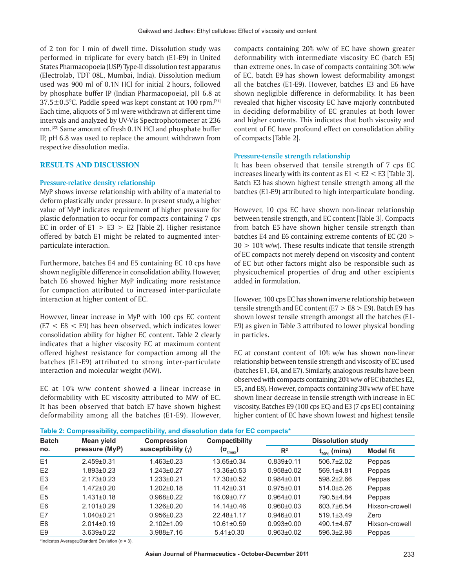of 2 ton for 1 min of dwell time. Dissolution study was performed in triplicate for every batch (E1-E9) in United States Pharmacopoeia (USP) Type-II dissolution test apparatus (Electrolab, TDT 08L, Mumbai, India). Dissolution medium used was 900 ml of 0.1N HCl for initial 2 hours, followed by phosphate buffer IP (Indian Pharmacopoeia), pH 6.8 at 37.5±0.5°C. Paddle speed was kept constant at 100 rpm.[21] Each time, aliquots of 5 ml were withdrawn at different time intervals and analyzed by UV-Vis Spectrophotometer at 236 nm.[22] Same amount of fresh 0.1N HCl and phosphate buffer IP, pH 6.8 was used to replace the amount withdrawn from respective dissolution media.

## **RESULTS AND DISCUSSION**

## **Pressure-relative density relationship**

MyP shows inverse relationship with ability of a material to deform plastically under pressure. In present study, a higher value of MyP indicates requirement of higher pressure for plastic deformation to occur for compacts containing 7 cps EC in order of  $E1 > E3 > E2$  [Table 2]. Higher resistance offered by batch E1 might be related to augmented interparticulate interaction.

Furthermore, batches E4 and E5 containing EC 10 cps have shown negligible difference in consolidation ability. However, batch E6 showed higher MyP indicating more resistance for compaction attributed to increased inter-particulate interaction at higher content of EC.

However, linear increase in MyP with 100 cps EC content (E7 < E8 < E9) has been observed, which indicates lower consolidation ability for higher EC content. Table 2 clearly indicates that a higher viscosity EC at maximum content offered highest resistance for compaction among all the batches (E1-E9) attributed to strong inter-particulate interaction and molecular weight (MW).

EC at 10% w/w content showed a linear increase in deformability with EC viscosity attributed to MW of EC. It has been observed that batch E7 have shown highest deformability among all the batches (E1-E9). However, compacts containing 20% w/w of EC have shown greater deformability with intermediate viscosity EC (batch E5) than extreme ones. In case of compacts containing 30% w/w of EC, batch E9 has shown lowest deformability amongst all the batches (E1-E9). However, batches E3 and E6 have shown negligible difference in deformability. It has been revealed that higher viscosity EC have majorly contributed in deciding deformability of EC granules at both lower and higher contents. This indicates that both viscosity and content of EC have profound effect on consolidation ability of compacts [Table 2].

#### **Pressure-tensile strength relationship**

It has been observed that tensile strength of 7 cps EC increases linearly with its content as  $E1 < E2 < E3$  [Table 3]. Batch E3 has shown highest tensile strength among all the batches (E1-E9) attributed to high interparticulate bonding.

However, 10 cps EC have shown non-linear relationship between tensile strength, and EC content [Table 3]. Compacts from batch E5 have shown higher tensile strength than batches E4 and E6 containing extreme contents of EC (20 >  $30 > 10\%$  w/w). These results indicate that tensile strength of EC compacts not merely depend on viscosity and content of EC but other factors might also be responsible such as physicochemical properties of drug and other excipients added in formulation.

However, 100 cps EC has shown inverse relationship between tensile strength and EC content ( $E7 > E8 > E9$ ). Batch E9 has shown lowest tensile strength amongst all the batches (E1- E9) as given in Table 3 attributed to lower physical bonding in particles.

EC at constant content of 10% w/w has shown non-linear relationship between tensile strength and viscosity of EC used (batches E1, E4, and E7). Similarly, analogous results have been observed with compacts containing 20% w/w of EC (batches E2, E5, and E8). However, compacts containing 30% w/w of EC have shown linear decrease in tensile strength with increase in EC viscosity. Batches E9 (100 cps EC) and E3 (7 cps EC) containing higher content of EC have shown lowest and highest tensile

| Table 2: Compressibility, compactibility, and dissolution data for EC compacts* |  |  |  |
|---------------------------------------------------------------------------------|--|--|--|
|---------------------------------------------------------------------------------|--|--|--|

| <b>Batch</b>   | Mean yield       | <b>Compression</b>   | <b>Compactibility</b>    | <b>Dissolution study</b> |                            |                  |  |  |
|----------------|------------------|----------------------|--------------------------|--------------------------|----------------------------|------------------|--|--|
| no.            | pressure (MyP)   | susceptibility $(y)$ | $(\sigma_{_{\sf tmax}})$ | $\mathbb{R}^2$           | (mins)<br>t <sub>an%</sub> | <b>Model fit</b> |  |  |
| E1             | $2.459 \pm 0.31$ | $1.463 \pm 0.23$     | $13.65 \pm 0.34$         | $0.839+0.11$             | $506.7 \pm 2.02$           | Peppas           |  |  |
| E2             | $1.893 \pm 0.23$ | $1.243 \pm 0.27$     | $13.36 \pm 0.53$         | $0.958 + 0.02$           | $569.1 + 4.81$             | Peppas           |  |  |
| E <sub>3</sub> | $2.173 \pm 0.23$ | $1.233 \pm 0.21$     | $17.30 \pm 0.52$         | $0.984\pm0.01$           | 598.2±2.66                 | Peppas           |  |  |
| E4             | $1.472 \pm 0.20$ | $1.202 \pm 0.18$     | $11.42 \pm 0.31$         | $0.975 \pm 0.01$         | 514.0±5.26                 | Peppas           |  |  |
| E <sub>5</sub> | $1.431 \pm 0.18$ | $0.968 \pm 0.22$     | 16.09±0.77               | $0.964\pm0.01$           | 790.5±4.84                 | Peppas           |  |  |
| E <sub>6</sub> | $2.101 \pm 0.29$ | 1.326±0.20           | $14.14 \pm 0.46$         | $0.960 \pm 0.03$         | 603.7±6.54                 | Hixson-crowell   |  |  |
| E7             | $1.040\pm0.21$   | $0.956 \pm 0.23$     | 22.48±1.17               | $0.946 \pm 0.01$         | $519.1 \pm 3.49$           | Zero             |  |  |
| E <sub>8</sub> | $2.014 \pm 0.19$ | $2.102 \pm 1.09$     | $10.61 \pm 0.59$         | $0.993 \pm 0.00$         | 490.1±4.67                 | Hixson-crowell   |  |  |
| E <sub>9</sub> | $3.639 \pm 0.22$ | $3.988 \pm 7.16$     | $5.41 \pm 0.30$          | $0.963 \pm 0.02$         | $596.3 \pm 2.98$           | Peppas           |  |  |

\*indicates Average±Standard Deviation (*n* = 3).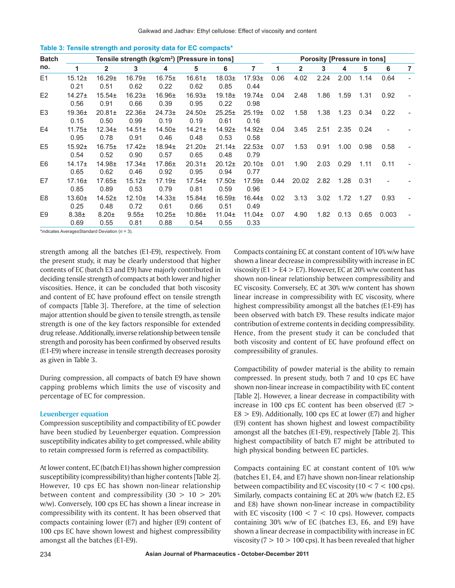| <b>Batch</b>   |                            |                     |                     |                            | Tensile strength (kg/cm <sup>2</sup> ) [Pressure in tons] |                            |                            |      |                |      | <b>Porosity [Pressure in tons]</b> |      |       |   |
|----------------|----------------------------|---------------------|---------------------|----------------------------|-----------------------------------------------------------|----------------------------|----------------------------|------|----------------|------|------------------------------------|------|-------|---|
| no.            | 1                          | $\mathbf{2}$        | 3                   | 4                          | 5                                                         | 6                          | $\overline{7}$             | 1    | $\overline{2}$ | 3    | 4                                  | 5    | 6     | 7 |
| E1             | $15.12+$<br>0.21           | $16.29 \pm$<br>0.51 | $16.79 \pm$<br>0.62 | $16.75 \pm$<br>0.22        | $16.61 \pm$<br>0.62                                       | $18.03+$<br>0.85           | $17.93+$<br>0.44           | 0.06 | 4.02           | 2.24 | 2.00                               | 1.14 | 0.64  |   |
| E2             | $14.27+$<br>0.56           | $15.54+$<br>0.91    | $16.23 \pm$<br>0.66 | $16.96 \pm$<br>0.39        | $16.93 \pm$<br>0.95                                       | 19.18±<br>0.22             | $19.74 \pm$<br>0.98        | 0.04 | 2.48           | 1.86 | 1.59                               | 1.31 | 0.92  |   |
| E <sub>3</sub> | $19.36 \pm$<br>0.15        | $20.81 \pm$<br>0.50 | $22.36 \pm$<br>0.99 | $24.73+$<br>0.19           | $24.50+$<br>0.19                                          | $25.25 \pm$<br>0.61        | 25.19±<br>0.16             | 0.02 | 1.58           | 1.38 | 1.23                               | 0.34 | 0.22  |   |
| E <sub>4</sub> | $11.75 \pm$<br>0.95        | $12.34 \pm$<br>0.78 | $14.51 \pm$<br>0.91 | $14.50+$<br>0.46           | $14.21 \pm$<br>0.48                                       | $14.92 +$<br>0.53          | $14.92 +$<br>0.58          | 0.04 | 3.45           | 2.51 | 2.35                               | 0.24 |       |   |
| E <sub>5</sub> | $15.92+$<br>0.54           | $16.75 \pm$<br>0.52 | $17.42 \pm$<br>0.90 | $18.94 \pm$<br>0.57        | $21.20 \pm$<br>0.65                                       | $21.14 \pm$<br>0.48        | $22.53+$<br>0.79           | 0.07 | 1.53           | 0.91 | 1.00                               | 0.98 | 0.58  |   |
| E6             | 14.17 <sub>±</sub><br>0.65 | $14.98 \pm$<br>0.62 | $17.34 \pm$<br>0.46 | $17.86 \pm$<br>0.92        | $20.31 \pm$<br>0.95                                       | 20.12 <sub>±</sub><br>0.94 | $20.10+$<br>0.77           | 0.01 | 1.90           | 2.03 | 0.29                               | 1.11 | 0.11  |   |
| E7             | $17.16 \pm$<br>0.85        | $17.65 \pm$<br>0.89 | $15.12+$<br>0.53    | 17.19 <sub>±</sub><br>0.79 | $17.54 \pm$<br>0.81                                       | $17.50+$<br>0.59           | 17.59 <sub>±</sub><br>0.96 | 0.44 | 20.02          | 2.82 | 1.28                               | 0.31 |       |   |
| E8             | $13.60+$<br>0.25           | $14.52+$<br>0.48    | $12.10+$<br>0.72    | $14.33 +$<br>0.61          | $15.84 \pm$<br>0.66                                       | 16.59 <sub>±</sub><br>0.51 | $16.44 \pm$<br>0.49        | 0.02 | 3.13           | 3.02 | 1.72                               | 1.27 | 0.93  |   |
| E <sub>9</sub> | $8.38 +$<br>0.69           | $8.20 \pm$<br>0.55  | $9.55 \pm$<br>0.81  | $10.25 \pm$<br>0.88        | $10.86 \pm$<br>0.54                                       | $11.04 \pm$<br>0.55        | $11.04 \pm$<br>0.33        | 0.07 | 4.90           | 1.82 | 0.13                               | 0.65 | 0.003 |   |

|  | Table 3: Tensile strength and porosity data for EC compacts* |  |  |  |  |
|--|--------------------------------------------------------------|--|--|--|--|
|--|--------------------------------------------------------------|--|--|--|--|

\*indicates Average±Standard Deviation (*n* = 3).

strength among all the batches (E1-E9), respectively. From the present study, it may be clearly understood that higher contents of EC (batch E3 and E9) have majorly contributed in deciding tensile strength of compacts at both lower and higher viscosities. Hence, it can be concluded that both viscosity and content of EC have profound effect on tensile strength of compacts [Table 3]. Therefore, at the time of selection major attention should be given to tensile strength, as tensile strength is one of the key factors responsible for extended drug release. Additionally, inverse relationship between tensile strength and porosity has been confirmed by observed results (E1-E9) where increase in tensile strength decreases porosity as given in Table 3.

During compression, all compacts of batch E9 have shown capping problems which limits the use of viscosity and percentage of EC for compression.

#### **Leuenberger equation**

Compression susceptibility and compactibility of EC powder have been studied by Leuenberger equation. Compression susceptibility indicates ability to get compressed, while ability to retain compressed form is referred as compactibility.

At lower content, EC (batch E1) has shown higher compression susceptibility (compressibility) than higher contents [Table 2]. However, 10 cps EC has shown non-linear relationship between content and compressibility  $(30 > 10 > 20\%)$ w/w). Conversely, 100 cps EC has shown a linear increase in compressibility with its content. It has been observed that compacts containing lower (E7) and higher (E9) content of 100 cps EC have shown lowest and highest compressibility amongst all the batches (E1-E9).

Compacts containing EC at constant content of 10% w/w have shown a linear decrease in compressibility with increase in EC viscosity (E1  $>$  E4  $>$  E7). However, EC at 20% w/w content has shown non-linear relationship between compressibility and EC viscosity. Conversely, EC at 30% w/w content has shown linear increase in compressibility with EC viscosity, where highest compressibility amongst all the batches (E1-E9) has been observed with batch E9. These results indicate major contribution of extreme contents in deciding compressibility. Hence, from the present study it can be concluded that both viscosity and content of EC have profound effect on compressibility of granules.

Compactibility of powder material is the ability to remain compressed. In present study, both 7 and 10 cps EC have shown non-linear increase in compactibility with EC content [Table 2]. However, a linear decrease in compactibility with increase in 100 cps EC content has been observed (E7 >  $E8 > E9$ ). Additionally, 100 cps EC at lower (E7) and higher (E9) content has shown highest and lowest compactibility amongst all the batches (E1-E9), respectively [Table 2]. This highest compactibility of batch E7 might be attributed to high physical bonding between EC particles.

Compacts containing EC at constant content of 10% w/w (batches E1, E4, and E7) have shown non-linear relationship between compactibility and EC viscosity ( $10 < 7 < 100$  cps). Similarly, compacts containing EC at 20% w/w (batch E2, E5 and E8) have shown non-linear increase in compactibility with EC viscosity (100  $<$  7  $<$  10 cps). However, compacts containing 30% w/w of EC (batches E3, E6, and E9) have shown a linear decrease in compactibility with increase in EC viscosity ( $7 > 10 > 100$  cps). It has been revealed that higher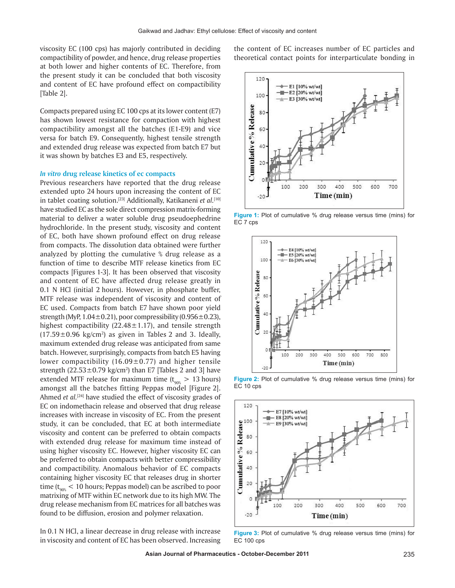viscosity EC (100 cps) has majorly contributed in deciding compactibility of powder, and hence, drug release properties at both lower and higher contents of EC. Therefore, from the present study it can be concluded that both viscosity and content of EC have profound effect on compactibility [Table 2].

Compacts prepared using EC 100 cps at its lower content (E7) has shown lowest resistance for compaction with highest compactibility amongst all the batches (E1-E9) and vice versa for batch E9. Consequently, highest tensile strength and extended drug release was expected from batch E7 but it was shown by batches E3 and E5, respectively.

#### *In vitro* **drug release kinetics of ec compacts**

Previous researchers have reported that the drug release extended upto 24 hours upon increasing the content of EC in tablet coating solution.<sup>[23]</sup> Additionally, Katikaneni *et al.*<sup>[10]</sup> have studied EC as the sole direct compression matrix-forming material to deliver a water soluble drug pseudoephedrine hydrochloride. In the present study, viscosity and content of EC, both have shown profound effect on drug release from compacts. The dissolution data obtained were further analyzed by plotting the cumulative % drug release as a function of time to describe MTF release kinetics from EC compacts [Figures 1-3]. It has been observed that viscosity and content of EC have affected drug release greatly in 0.1 N HCl (initial 2 hours). However, in phosphate buffer, MTF release was independent of viscosity and content of EC used. Compacts from batch E7 have shown poor yield strength (MyP,  $1.04 \pm 0.21$ ), poor compressibility (0.956 $\pm$ 0.23), highest compactibility  $(22.48 \pm 1.17)$ , and tensile strength  $(17.59 \pm 0.96 \text{ kg/cm}^2)$  as given in Tables 2 and 3. Ideally, maximum extended drug release was anticipated from same batch. However, surprisingly, compacts from batch E5 having lower compactibility (16.09 $\pm$ 0.77) and higher tensile strength  $(22.53 \pm 0.79 \text{ kg/cm}^2)$  than E7 [Tables 2 and 3] have extended MTF release for maximum time  $(t_{90\%} > 13$  hours) amongst all the batches fitting Peppas model [Figure 2]. Ahmed *et al.*<sup>[24]</sup> have studied the effect of viscosity grades of EC on indomethacin release and observed that drug release increases with increase in viscosity of EC. From the present study, it can be concluded, that EC at both intermediate viscosity and content can be preferred to obtain compacts with extended drug release for maximum time instead of using higher viscosity EC. However, higher viscosity EC can be preferred to obtain compacts with better compressibility and compactibility. Anomalous behavior of EC compacts containing higher viscosity EC that releases drug in shorter time ( $t_{\text{gas}}$  < 10 hours; Peppas model) can be ascribed to poor matrixing of MTF within EC network due to its high MW. The drug release mechanism from EC matrices for all batches was found to be diffusion, erosion and polymer relaxation.

In 0.1 N HCl, a linear decrease in drug release with increase in viscosity and content of EC has been observed. Increasing the content of EC increases number of EC particles and theoretical contact points for interparticulate bonding in



**Figure 1:** Plot of cumulative % drug release versus time (mins) for EC 7 cps



**Figure 2:** Plot of cumulative % drug release versus time (mins) for EC 10 cps



**Figure 3:** Plot of cumulative % drug release versus time (mins) for EC 100 cps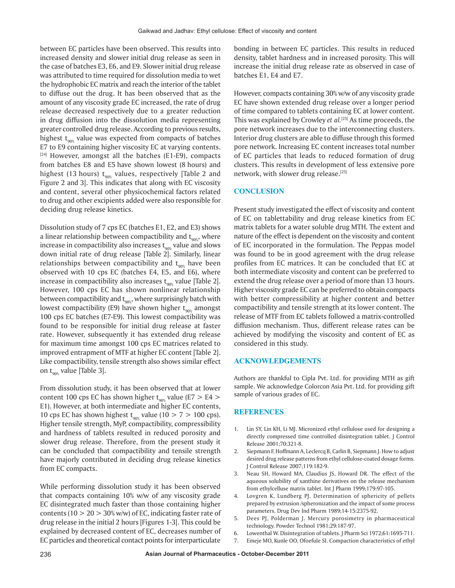between EC particles have been observed. This results into increased density and slower initial drug release as seen in the case of batches E3, E6, and E9. Slower initial drug release was attributed to time required for dissolution media to wet the hydrophobic EC matrix and reach the interior of the tablet to diffuse out the drug. It has been observed that as the amount of any viscosity grade EC increased, the rate of drug release decreased respectively due to a greater reduction in drug diffusion into the dissolution media representing greater controlled drug release. According to previous results, highest  $t_{90\%}$  value was expected from compacts of batches E7 to E9 containing higher viscosity EC at varying contents.  $[24]$  However, amongst all the batches (E1-E9), compacts from batches E8 and E5 have shown lowest (8 hours) and highest (13 hours)  $t_{90\%}$  values, respectively [Table 2 and Figure 2 and 3]. This indicates that along with EC viscosity and content, several other physicochemical factors related to drug and other excipients added were also responsible for deciding drug release kinetics.

Dissolution study of 7 cps EC (batches E1, E2, and E3) shows a linear relationship between compactibility and  $t_{90\%}$ , where increase in compactibility also increases  $t_{\text{gas}}$  value and slows down initial rate of drug release [Table 2]. Similarly, linear relationships between compactibility and  $t_{\text{q}_0\text{g}}$  have been observed with 10 cps EC (batches E4, E5, and E6), where increase in compactibility also increases  $t_{\text{gas}}$  value [Table 2]. However, 100 cps EC has shown nonlinear relationship between compactibility and  $t_{90\%}$ , where surprisingly batch with lowest compactibility (E9) have shown higher  $t_{.008}$  amongst 100 cps EC batches (E7-E9). This lowest compactibility was found to be responsible for initial drug release at faster rate. However, subsequently it has extended drug release for maximum time amongst 100 cps EC matrices related to improved entrapment of MTF at higher EC content [Table 2]. Like compactibility, tensile strength also shows similar effect on  $t_{90\%}$  value [Table 3].

From dissolution study, it has been observed that at lower content 100 cps EC has shown higher  $t_{90\%}$  value (E7 > E4 > E1). However, at both intermediate and higher EC contents, 10 cps EC has shown highest  $t_{90\%}$  value (10 > 7 > 100 cps). Higher tensile strength, MyP, compactibility, compressibility and hardness of tablets resulted in reduced porosity and slower drug release. Therefore, from the present study it can be concluded that compactibility and tensile strength have majorly contributed in deciding drug release kinetics from EC compacts.

While performing dissolution study it has been observed that compacts containing 10% w/w of any viscosity grade EC disintegrated much faster than those containing higher contents ( $10 > 20 > 30\%$  w/w) of EC, indicating faster rate of drug release in the initial 2 hours [Figures 1-3]. This could be explained by decreased content of EC, decreases number of EC particles and theoretical contact points for interparticulate

bonding in between EC particles. This results in reduced density, tablet hardness and in increased porosity. This will increase the initial drug release rate as observed in case of batches E1, E4 and E7.

However, compacts containing 30% w/w of any viscosity grade EC have shown extended drug release over a longer period of time compared to tablets containing EC at lower content. This was explained by Crowley *et al.*[25] As time proceeds, the pore network increases due to the interconnecting clusters. Interior drug clusters are able to diffuse through this formed pore network. Increasing EC content increases total number of EC particles that leads to reduced formation of drug clusters. This results in development of less extensive pore network, with slower drug release.[25]

## **CONCLUSION**

Present study investigated the effect of viscosity and content of EC on tablettability and drug release kinetics from EC matrix tablets for a water soluble drug MTH. The extent and nature of the effect is dependent on the viscosity and content of EC incorporated in the formulation. The Peppas model was found to be in good agreement with the drug release profiles from EC matrices. It can be concluded that EC at both intermediate viscosity and content can be preferred to extend the drug release over a period of more than 13 hours. Higher viscosity grade EC can be preferred to obtain compacts with better compressibility at higher content and better compactibility and tensile strength at its lower content. The release of MTF from EC tablets followed a matrix-controlled diffusion mechanism. Thus, different release rates can be achieved by modifying the viscosity and content of EC as considered in this study.

#### **ACKNOWLEDGEMENTS**

Authors are thankful to Cipla Pvt. Ltd. for providing MTH as gift sample. We acknowledge Colorcon Asia Pvt. Ltd. for providing gift sample of various grades of EC.

#### **REFERENCES**

- 1. Lin SY, Lin KH, Li MJ. Micronized ethyl cellulose used for designing a directly compressed time controlled disintegration tablet. J Control Release 2001;70:321-8.
- 2. Siepmann F, Hoffmann A, Leclercq B, Carlin B, Siepmann J. How to adjust desired drug release patterns from ethyl cellulose-coated dosage forms. J Control Release 2007;119:182-9.
- 3. Neau SH, Howard MA, Claudius JS, Howard DR. The effect of the aqueous solubility of xanthine derivatives on the release mechanism from ethylcelluse matrix tablet. Int J Pharm 1999;179:97-105.
- 4. Lovgren K, Lundberg PJ. Determination of sphericity of pellets prepared by extrusion /spheronization and the impact of some process parameters. Drug Dev Ind Pharm 1989;14-15:2375-92.
- 5. Dees PJ, Polderman J. Mercury porosimetry in pharmaceutical technology. Powder Technol 1981;29:187-97.
- 6. Lowenthal W. Disintegration of tablets. J Pharm Sci 1972;61:1695-711.
- 7. Emeje MO, Kunle OO, Ofoefule SI. Compaction characteristics of ethyl